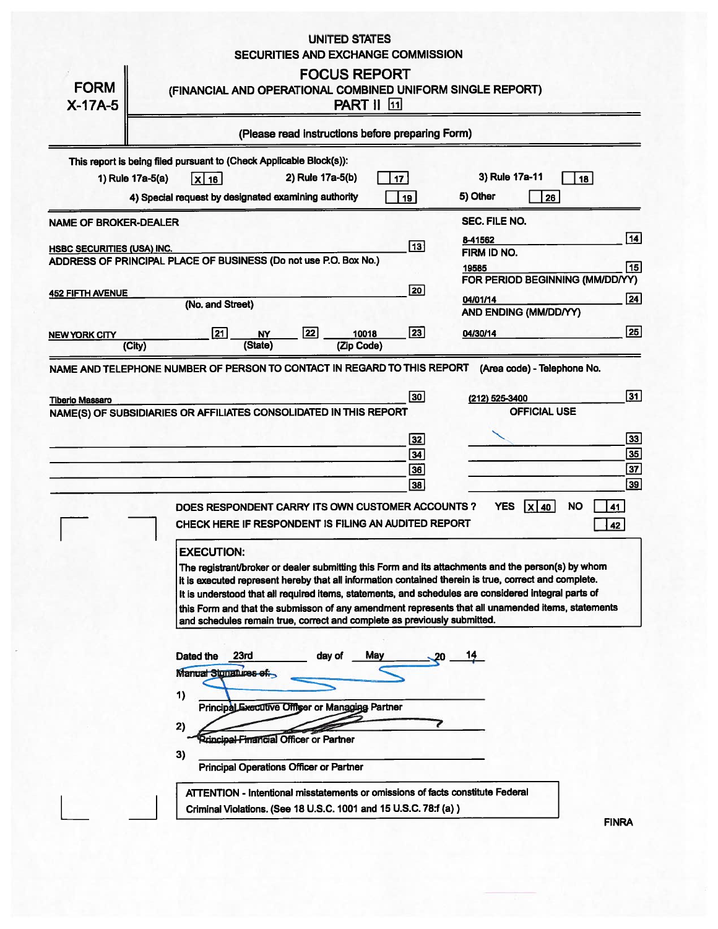## **UNITED STATES** SECURITIES AND EXCHANGE COMMISSION

| <b>FORM</b><br>$X-17A-5$          | <b>FOCUS REPORT</b><br>(FINANCIAL AND OPERATIONAL COMBINED UNIFORM SINGLE REPORT)<br><b>PART    [11]</b>                                                                                                                                                                                                                                                                                                                                                                                                                                                                                                                                                                                                                                                                                                                         |  |  |  |
|-----------------------------------|----------------------------------------------------------------------------------------------------------------------------------------------------------------------------------------------------------------------------------------------------------------------------------------------------------------------------------------------------------------------------------------------------------------------------------------------------------------------------------------------------------------------------------------------------------------------------------------------------------------------------------------------------------------------------------------------------------------------------------------------------------------------------------------------------------------------------------|--|--|--|
|                                   | (Please read instructions before preparing Form)                                                                                                                                                                                                                                                                                                                                                                                                                                                                                                                                                                                                                                                                                                                                                                                 |  |  |  |
|                                   | This report is being filed pursuant to (Check Applicable Block(s)):<br>3) Rule 17a-11<br>2) Rule 17a-5(b)<br>1) Rule 17a-5(a)<br>17<br>18<br>$x _{16}$<br>5) Other<br>4) Special request by designated examining authority<br>26<br>19                                                                                                                                                                                                                                                                                                                                                                                                                                                                                                                                                                                           |  |  |  |
| <b>NAME OF BROKER-DEALER</b>      | <b>SEC. FILE NO.</b>                                                                                                                                                                                                                                                                                                                                                                                                                                                                                                                                                                                                                                                                                                                                                                                                             |  |  |  |
| <b>HSBC SECURITIES (USA) INC.</b> | 14  <br>8-41562<br>$\sqrt{13}$<br>FIRM ID NO.<br>ADDRESS OF PRINCIPAL PLACE OF BUSINESS (Do not use P.O. Box No.)<br>15<br>19585                                                                                                                                                                                                                                                                                                                                                                                                                                                                                                                                                                                                                                                                                                 |  |  |  |
| <b>452 FIFTH AVENUE</b>           | FOR PERIOD BEGINNING (MM/DD/YY)<br> 20 <br>$\overline{24}$<br>04/01/14<br>(No. and Street)<br>AND ENDING (MM/DD/YY)                                                                                                                                                                                                                                                                                                                                                                                                                                                                                                                                                                                                                                                                                                              |  |  |  |
| NEW YORK CITY                     | 25<br>23<br>22<br>$\sqrt{21}$<br>04/30/14<br>10018<br><b>NY</b><br>(State)<br>(Zip Code)<br>(City)                                                                                                                                                                                                                                                                                                                                                                                                                                                                                                                                                                                                                                                                                                                               |  |  |  |
| <b>Tiberio Massaro</b>            | NAME AND TELEPHONE NUMBER OF PERSON TO CONTACT IN REGARD TO THIS REPORT<br>(Area code) - Telephone No.<br>$\overline{31}$<br>30<br>(212) 525-3400                                                                                                                                                                                                                                                                                                                                                                                                                                                                                                                                                                                                                                                                                |  |  |  |
|                                   | <b>OFFICIAL USE</b><br>NAME(S) OF SUBSIDIARIES OR AFFILIATES CONSOLIDATED IN THIS REPORT<br>33<br>32<br>35<br>34<br>$\overline{37}$<br>36<br>$\sqrt{39}$<br>38                                                                                                                                                                                                                                                                                                                                                                                                                                                                                                                                                                                                                                                                   |  |  |  |
|                                   | <b>YES</b><br>$ \mathsf{x} $ 40<br><b>NO</b><br>41<br>DOES RESPONDENT CARRY ITS OWN CUSTOMER ACCOUNTS ?<br>CHECK HERE IF RESPONDENT IS FILING AN AUDITED REPORT<br>42<br><b>EXECUTION:</b><br>The registrant/broker or dealer submitting this Form and its attachments and the person(s) by whom<br>it is executed represent hereby that all information contained therein is true, correct and complete.<br>It is understood that all required items, statements, and schedules are considered integral parts of<br>this Form and that the submisson of any amendment represents that all unamended items, statements<br>and schedules remain true, correct and complete as previously submitted.<br>May<br>Dated the<br>23rd<br>day of<br>Manual Stonatures of:<br>1)<br>Principal Executive Offiser or Managing Partner<br>2) |  |  |  |
|                                   | <b>Rrincipal-Financial Officer or Partner</b><br>3)<br>Principal Operations Officer or Partner<br>ATTENTION - Intentional misstatements or omissions of facts constitute Federal<br>Criminal Violations. (See 18 U.S.C. 1001 and 15 U.S.C. 78:f (a) )<br><b>CINDA</b>                                                                                                                                                                                                                                                                                                                                                                                                                                                                                                                                                            |  |  |  |

FINF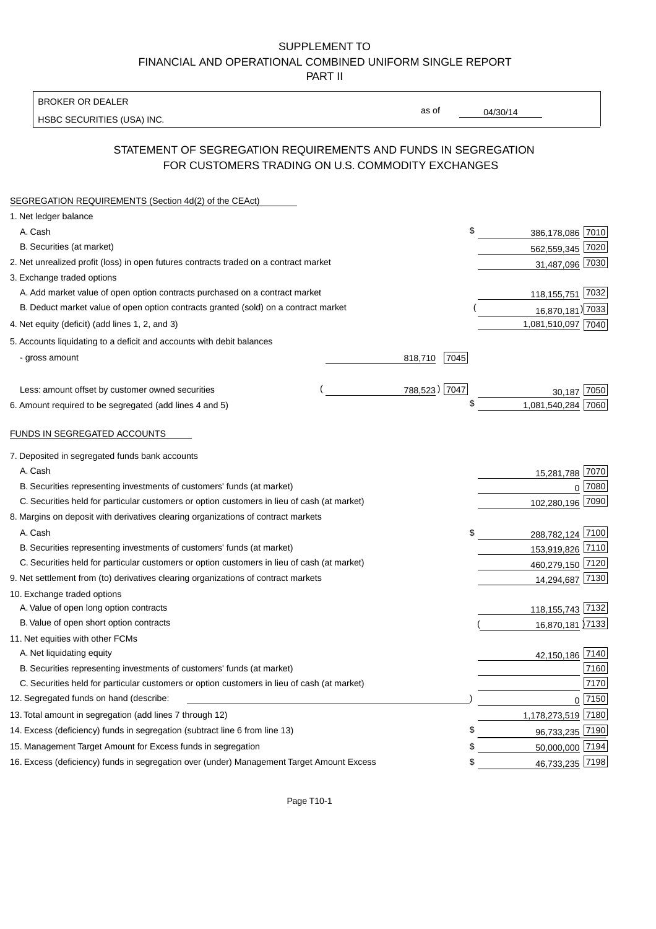## SUPPLEMENT TO FINANCIAL AND OPERATIONAL COMBINED UNIFORM SINGLE REPORT PART II

BROKER OR DEALER

HSBC SECURITIES (USA) INC.

04/30/14

as of

# STATEMENT OF SEGREGATION REQUIREMENTS AND FUNDS IN SEGREGATION FOR CUSTOMERS TRADING ON U.S. COMMODITY EXCHANGES

| SEGREGATION REQUIREMENTS (Section 4d(2) of the CEAct)                                       |                 |                    |          |
|---------------------------------------------------------------------------------------------|-----------------|--------------------|----------|
| 1. Net ledger balance                                                                       |                 |                    |          |
| A. Cash                                                                                     | \$              | 386,178,086 7010   |          |
| B. Securities (at market)                                                                   |                 | 562,559,345 7020   |          |
| 2. Net unrealized profit (loss) in open futures contracts traded on a contract market       |                 | 31,487,096 7030    |          |
| 3. Exchange traded options                                                                  |                 |                    |          |
| A. Add market value of open option contracts purchased on a contract market                 |                 | 118,155,751 7032   |          |
| B. Deduct market value of open option contracts granted (sold) on a contract market         |                 | 16,870,181) 7033   |          |
| 4. Net equity (deficit) (add lines 1, 2, and 3)                                             |                 | 1,081,510,097 7040 |          |
| 5. Accounts liquidating to a deficit and accounts with debit balances                       |                 |                    |          |
| - gross amount                                                                              | 7045<br>818,710 |                    |          |
|                                                                                             |                 |                    |          |
| Less: amount offset by customer owned securities                                            | 788,523) 7047   | 30,187             | 7050     |
| 6. Amount required to be segregated (add lines 4 and 5)                                     | \$              | 1,081,540,284 7060 |          |
| FUNDS IN SEGREGATED ACCOUNTS                                                                |                 |                    |          |
| 7. Deposited in segregated funds bank accounts                                              |                 |                    |          |
| A. Cash                                                                                     |                 | 15,281,788 7070    |          |
| B. Securities representing investments of customers' funds (at market)                      |                 | $\Omega$           | 7080     |
| C. Securities held for particular customers or option customers in lieu of cash (at market) |                 | 102,280,196 7090   |          |
| 8. Margins on deposit with derivatives clearing organizations of contract markets           |                 |                    |          |
| A. Cash                                                                                     | \$              | 288,782,124 7100   |          |
| B. Securities representing investments of customers' funds (at market)                      |                 | 153,919,826 7110   |          |
| C. Securities held for particular customers or option customers in lieu of cash (at market) |                 | 460,279,150 7120   |          |
| 9. Net settlement from (to) derivatives clearing organizations of contract markets          |                 | 14,294,687 7130    |          |
| 10. Exchange traded options                                                                 |                 |                    |          |
| A. Value of open long option contracts                                                      |                 | 118, 155, 743 7132 |          |
| B. Value of open short option contracts                                                     |                 | 16,870,181 7133    |          |
| 11. Net equities with other FCMs                                                            |                 |                    |          |
| A. Net liquidating equity                                                                   |                 | 42,150,186 7140    |          |
| B. Securities representing investments of customers' funds (at market)                      |                 |                    | 7160     |
| C. Securities held for particular customers or option customers in lieu of cash (at market) |                 |                    | 7170     |
| 12. Segregated funds on hand (describe:                                                     |                 |                    | $0$ 7150 |
| 13. Total amount in segregation (add lines 7 through 12)                                    |                 | 1,178,273,519 7180 |          |
| 14. Excess (deficiency) funds in segregation (subtract line 6 from line 13)                 | \$.             | 96,733,235 7190    |          |
| 15. Management Target Amount for Excess funds in segregation                                | £               | 50,000,000 7194    |          |
| 16. Excess (deficiency) funds in segregation over (under) Management Target Amount Excess   | \$              | 46,733,235 7198    |          |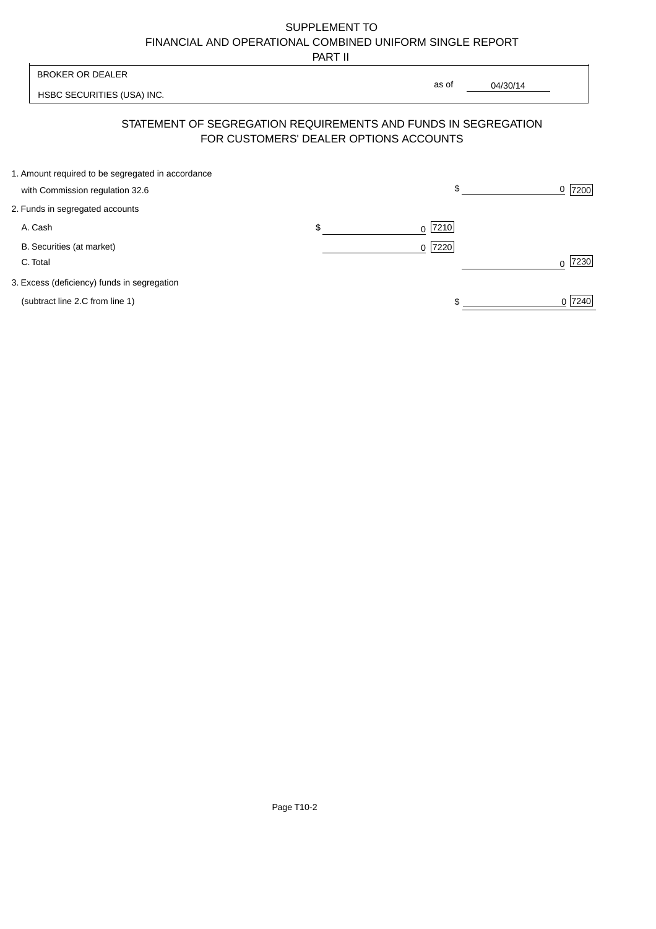# SUPPLEMENT TO FINANCIAL AND OPERATIONAL COMBINED UNIFORM SINGLE REPORT

PART II

|                                                   | .                                      |                                                                |                  |
|---------------------------------------------------|----------------------------------------|----------------------------------------------------------------|------------------|
| <b>BROKER OR DEALER</b>                           |                                        |                                                                |                  |
| HSBC SECURITIES (USA) INC.                        |                                        | as of<br>04/30/14                                              |                  |
|                                                   | FOR CUSTOMERS' DEALER OPTIONS ACCOUNTS | STATEMENT OF SEGREGATION REQUIREMENTS AND FUNDS IN SEGREGATION |                  |
| 1. Amount required to be segregated in accordance |                                        | \$                                                             | 7200<br>0        |
| with Commission regulation 32.6                   |                                        |                                                                |                  |
| 2. Funds in segregated accounts                   |                                        |                                                                |                  |
| A. Cash                                           | \$                                     | 7210<br>0                                                      |                  |
| B. Securities (at market)                         |                                        | 7220<br>$\Omega$                                               |                  |
| C. Total                                          |                                        |                                                                | 7230<br>$\Omega$ |
| 3. Excess (deficiency) funds in segregation       |                                        |                                                                |                  |
| (subtract line 2.C from line 1)                   |                                        |                                                                | 0 7240           |
|                                                   |                                        |                                                                |                  |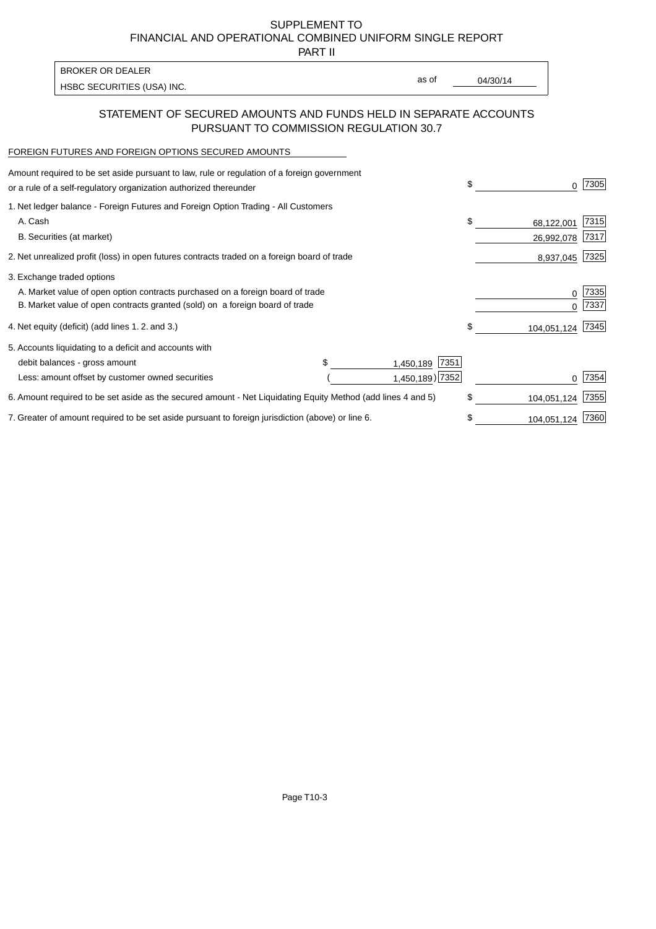SUPPLEMENT TO FINANCIAL AND OPERATIONAL COMBINED UNIFORM SINGLE REPORT

PART II

| <b>BROKER OR DEALER</b>    |       |          |
|----------------------------|-------|----------|
| HSBC SECURITIES (USA) INC. | as of | 04/30/14 |

#### STATEMENT OF SECURED AMOUNTS AND FUNDS HELD IN SEPARATE ACCOUNTS PURSUANT TO COMMISSION REGULATION 30.7

#### FOREIGN FUTURES AND FOREIGN OPTIONS SECURED AMOUNTS

| Amount required to be set aside pursuant to law, rule or regulation of a foreign government<br>or a rule of a self-regulatory organization authorized thereunder |    | 0           | 7305 |
|------------------------------------------------------------------------------------------------------------------------------------------------------------------|----|-------------|------|
| 1. Net ledger balance - Foreign Futures and Foreign Option Trading - All Customers                                                                               |    |             |      |
| A. Cash                                                                                                                                                          | \$ | 68,122,001  | 7315 |
| B. Securities (at market)                                                                                                                                        |    | 26,992,078  | 7317 |
| 2. Net unrealized profit (loss) in open futures contracts traded on a foreign board of trade                                                                     |    | 8,937,045   | 7325 |
| 3. Exchange traded options                                                                                                                                       |    |             |      |
| A. Market value of open option contracts purchased on a foreign board of trade                                                                                   |    | 0           | 7335 |
| B. Market value of open contracts granted (sold) on a foreign board of trade                                                                                     |    |             | 7337 |
| 4. Net equity (deficit) (add lines 1.2. and 3.)                                                                                                                  | \$ | 104,051,124 | 7345 |
| 5. Accounts liquidating to a deficit and accounts with                                                                                                           |    |             |      |
| 7351<br>debit balances - gross amount<br>1,450,189                                                                                                               |    |             |      |
| 1,450,189) 7352<br>Less: amount offset by customer owned securities                                                                                              |    |             | 7354 |
| 6. Amount required to be set aside as the secured amount - Net Liquidating Equity Method (add lines 4 and 5)                                                     | \$ | 104,051,124 | 7355 |
| 7. Greater of amount required to be set aside pursuant to foreign jurisdiction (above) or line 6.                                                                |    | 104,051,124 | 7360 |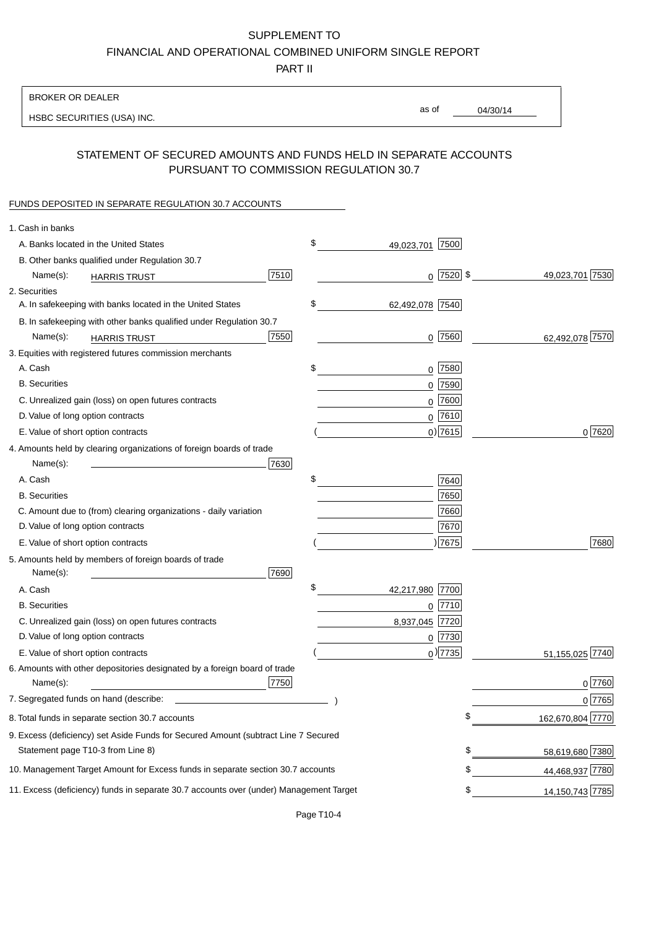# SUPPLEMENT TO

FINANCIAL AND OPERATIONAL COMBINED UNIFORM SINGLE REPORT

PART II

## BROKER OR DEALER

HSBC SECURITIES (USA) INC.

04/30/14 as of

## STATEMENT OF SECURED AMOUNTS AND FUNDS HELD IN SEPARATE ACCOUNTS PURSUANT TO COMMISSION REGULATION 30.7

#### FUNDS DEPOSITED IN SEPARATE REGULATION 30.7 ACCOUNTS

| 1. Cash in banks                                                                       |      |                    |    |                   |
|----------------------------------------------------------------------------------------|------|--------------------|----|-------------------|
| A. Banks located in the United States                                                  | \$   | 7500<br>49,023,701 |    |                   |
| B. Other banks qualified under Regulation 30.7                                         |      |                    |    |                   |
| Name(s):<br><b>HARRIS TRUST</b>                                                        | 7510 | $0$ 7520 \$        |    | 49,023,701 7530   |
| 2. Securities                                                                          |      |                    |    |                   |
| A. In safekeeping with banks located in the United States                              | \$   | 62,492,078 7540    |    |                   |
| B. In safekeeping with other banks qualified under Regulation 30.7                     |      |                    |    |                   |
| Name(s):<br><b>HARRIS TRUST</b>                                                        | 7550 | $0$ 7560           |    | 62,492,078 7570   |
| 3. Equities with registered futures commission merchants                               |      |                    |    |                   |
| A. Cash                                                                                | \$   | $0$   7580         |    |                   |
| <b>B.</b> Securities                                                                   |      | 0 7590             |    |                   |
| C. Unrealized gain (loss) on open futures contracts                                    |      | 0 7600             |    |                   |
| D. Value of long option contracts                                                      |      | $0^{7610}$         |    |                   |
| E. Value of short option contracts                                                     |      | $0$ ) 7615         |    | 0 7620            |
| 4. Amounts held by clearing organizations of foreign boards of trade                   |      |                    |    |                   |
| Name(s):                                                                               | 7630 |                    |    |                   |
| A. Cash                                                                                | \$   | 7640               |    |                   |
| <b>B.</b> Securities                                                                   |      | 7650               |    |                   |
| C. Amount due to (from) clearing organizations - daily variation                       |      | 7660               |    |                   |
| D. Value of long option contracts                                                      |      | 7670               |    |                   |
| E. Value of short option contracts                                                     |      | )7675              |    | 7680              |
| 5. Amounts held by members of foreign boards of trade                                  |      |                    |    |                   |
| Name(s):                                                                               | 7690 |                    |    |                   |
| A. Cash                                                                                | \$   | 42,217,980<br>7700 |    |                   |
| <b>B.</b> Securities                                                                   |      | 7710<br>0          |    |                   |
| C. Unrealized gain (loss) on open futures contracts                                    |      | 7720<br>8,937,045  |    |                   |
| D. Value of long option contracts                                                      |      | $0$  7730          |    |                   |
| E. Value of short option contracts                                                     |      | $_0$ ) 7735        |    | 51,155,025 7740   |
| 6. Amounts with other depositories designated by a foreign board of trade              |      |                    |    |                   |
| Name(s):                                                                               | 7750 |                    |    | 0 7760            |
| 7. Segregated funds on hand (describe: _                                               |      |                    |    | 0 7765            |
| 8. Total funds in separate section 30.7 accounts                                       |      |                    | φ  | 162,670,804 7770  |
| 9. Excess (deficiency) set Aside Funds for Secured Amount (subtract Line 7 Secured     |      |                    |    |                   |
| Statement page T10-3 from Line 8)                                                      |      |                    | \$ | 58,619,680 7380   |
| 10. Management Target Amount for Excess funds in separate section 30.7 accounts        |      |                    | \$ | 44,468,937 7780   |
| 11. Excess (deficiency) funds in separate 30.7 accounts over (under) Management Target |      |                    | \$ | 14, 150, 743 7785 |
|                                                                                        |      |                    |    |                   |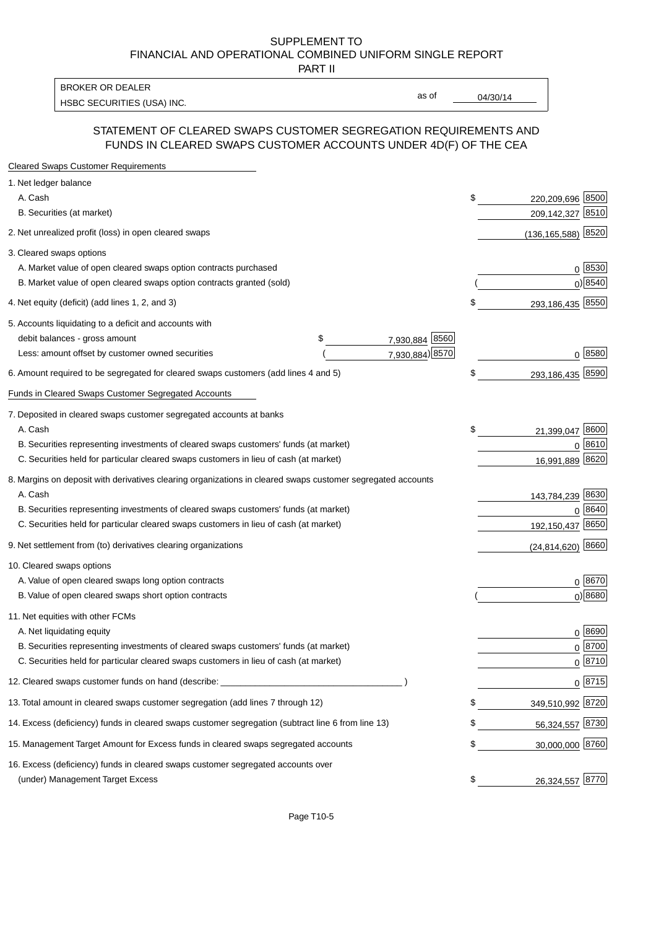#### SUPPLEMENT TO FINANCIAL AND OPERATIONAL COMBINED UNIFORM SINGLE REPORT PART II

HSBC SECURITIES (USA) INC. The contract of the contract of the contract of the contract of the contract of the contract of the contract of the contract of the contract of the contract of the contract of the contract of the BROKER OR DEALER

as of

## STATEMENT OF CLEARED SWAPS CUSTOMER SEGREGATION REQUIREMENTS AND FUNDS IN CLEARED SWAPS CUSTOMER ACCOUNTS UNDER 4D(F) OF THE CEA

| <b>Cleared Swaps Customer Requirements</b>                                                                  |                      |    |                         |
|-------------------------------------------------------------------------------------------------------------|----------------------|----|-------------------------|
| 1. Net ledger balance                                                                                       |                      |    |                         |
| A. Cash                                                                                                     |                      | \$ | 8500<br>220,209,696     |
| B. Securities (at market)                                                                                   |                      |    | 209,142,327<br>8510     |
| 2. Net unrealized profit (loss) in open cleared swaps                                                       |                      |    | 8520<br>(136, 165, 588) |
| 3. Cleared swaps options                                                                                    |                      |    |                         |
| A. Market value of open cleared swaps option contracts purchased                                            |                      |    | $0^{8530}$              |
| B. Market value of open cleared swaps option contracts granted (sold)                                       |                      |    | $0)$ 8540               |
| 4. Net equity (deficit) (add lines 1, 2, and 3)                                                             |                      | \$ | 293,186,435 8550        |
| 5. Accounts liquidating to a deficit and accounts with                                                      |                      |    |                         |
| debit balances - gross amount                                                                               | 7,930,884 8560<br>\$ |    |                         |
| Less: amount offset by customer owned securities                                                            | 7,930,884) 8570      |    | 0 8580                  |
| 6. Amount required to be segregated for cleared swaps customers (add lines 4 and 5)                         |                      | S  | 293,186,435 8590        |
| Funds in Cleared Swaps Customer Segregated Accounts                                                         |                      |    |                         |
| 7. Deposited in cleared swaps customer segregated accounts at banks                                         |                      |    |                         |
| A. Cash                                                                                                     |                      | \$ | 21,399,047 8600         |
| B. Securities representing investments of cleared swaps customers' funds (at market)                        |                      |    | 8610<br>$\Omega$        |
| C. Securities held for particular cleared swaps customers in lieu of cash (at market)                       |                      |    | 16,991,889 8620         |
| 8. Margins on deposit with derivatives clearing organizations in cleared swaps customer segregated accounts |                      |    |                         |
| A. Cash                                                                                                     |                      |    | 143,784,239 8630        |
| B. Securities representing investments of cleared swaps customers' funds (at market)                        |                      |    | 8640<br>$\Omega$        |
| C. Securities held for particular cleared swaps customers in lieu of cash (at market)                       |                      |    | 8650<br>192,150,437     |
| 9. Net settlement from (to) derivatives clearing organizations                                              |                      |    | 8660<br>(24, 814, 620)  |
| 10. Cleared swaps options                                                                                   |                      |    |                         |
| A. Value of open cleared swaps long option contracts                                                        |                      |    | $0^{8670}$              |
| B. Value of open cleared swaps short option contracts                                                       |                      |    | $0$ ) 8680              |
| 11. Net equities with other FCMs                                                                            |                      |    |                         |
| A. Net liquidating equity                                                                                   |                      |    | $0^{8690}$              |
| B. Securities representing investments of cleared swaps customers' funds (at market)                        |                      |    | $0^{8700}$              |
| C. Securities held for particular cleared swaps customers in lieu of cash (at market)                       |                      |    | 0 8710                  |
| 12. Cleared swaps customer funds on hand (describe: _                                                       |                      |    | $0 \;  8715 $           |
| 13. Total amount in cleared swaps customer segregation (add lines 7 through 12)                             |                      |    | 349,510,992 8720        |
| 14. Excess (deficiency) funds in cleared swaps customer segregation (subtract line 6 from line 13)          |                      |    | 56,324,557 8730         |
| 15. Management Target Amount for Excess funds in cleared swaps segregated accounts                          |                      | \$ | 30,000,000 8760         |
| 16. Excess (deficiency) funds in cleared swaps customer segregated accounts over                            |                      |    |                         |
| (under) Management Target Excess                                                                            |                      | \$ | 26,324,557 8770         |